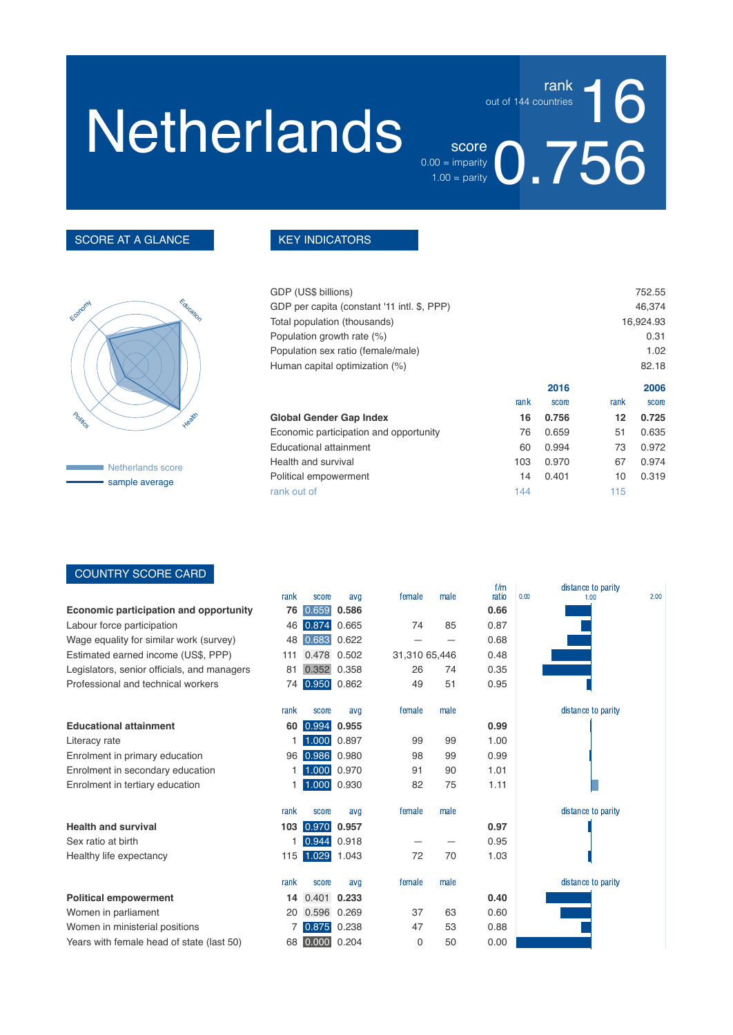## **Netherlands**

 $\frac{\text{score}}{\text{approx}}$  0.756  $0.00 =$  imparity  $1.00 =$  parity

16

rank

out of 144 countries

#### SCORE AT A GLANCE



Netherlands score sample average

#### KEY INDICATORS

| GDP (US\$ billions)                         |      |       |      | 752.55    |
|---------------------------------------------|------|-------|------|-----------|
| GDP per capita (constant '11 intl. \$, PPP) |      |       |      | 46,374    |
| Total population (thousands)                |      |       |      | 16,924.93 |
| Population growth rate (%)                  |      |       |      | 0.31      |
| Population sex ratio (female/male)          |      |       |      | 1.02      |
| Human capital optimization (%)              |      |       |      | 82.18     |
|                                             |      | 2016  |      | 2006      |
|                                             | rank | score | rank | score     |
| Global Gender Gap Index                     | 16   | 0.756 | 12   | 0.725     |
| Economic participation and opportunity      | 76   | 0.659 | 51   | 0.635     |
| Educational attainment                      | 60   | 0.994 | 73   | 0.972     |
| Health and survival                         | 103  | 0.970 | 67   | 0.974     |
| Political empowerment                       | 14   | 0.401 | 10   | 0.319     |
| rank out of                                 | 144  |       | 115  |           |
|                                             |      |       |      |           |

#### COUNTRY SCORE CARD

|                                             | rank | score           | avg   | female        | male | f/m<br>ratio | distance to parity<br>0.00<br>2.00<br>1.00 |  |
|---------------------------------------------|------|-----------------|-------|---------------|------|--------------|--------------------------------------------|--|
| Economic participation and opportunity      | 76   | 0.659           | 0.586 |               |      | 0.66         |                                            |  |
| Labour force participation                  | 46   | 0.874           | 0.665 | 74            | 85   | 0.87         |                                            |  |
| Wage equality for similar work (survey)     | 48   | 0.683           | 0.622 |               |      | 0.68         |                                            |  |
| Estimated earned income (US\$, PPP)         | 111  | 0.478           | 0.502 | 31,310 65,446 |      | 0.48         |                                            |  |
| Legislators, senior officials, and managers | 81   | 0.352           | 0.358 | 26            | 74   | 0.35         |                                            |  |
| Professional and technical workers          |      | 74 0.950 0.862  |       | 49            | 51   | 0.95         |                                            |  |
|                                             | rank | score           | avg   | female        | male |              | distance to parity                         |  |
| <b>Educational attainment</b>               | 60   | 0.994           | 0.955 |               |      | 0.99         |                                            |  |
| Literacy rate                               |      | 1.000 0.897     |       | 99            | 99   | 1.00         |                                            |  |
| Enrolment in primary education              |      | 96 0.986 0.980  |       | 98            | 99   | 0.99         |                                            |  |
| Enrolment in secondary education            |      | 1.000 0.970     |       | 91            | 90   | 1.01         |                                            |  |
| Enrolment in tertiary education             |      | 1.000 0.930     |       | 82            | 75   | 1.11         |                                            |  |
|                                             | rank | score           | avq   | female        | male |              | distance to parity                         |  |
| <b>Health and survival</b>                  | 103  | 0.970           | 0.957 |               |      | 0.97         |                                            |  |
| Sex ratio at birth                          |      | 0.944           | 0.918 |               |      | 0.95         |                                            |  |
| Healthy life expectancy                     |      | 115 1.029 1.043 |       | 72            | 70   | 1.03         |                                            |  |
|                                             | rank | score           | avg   | female        | male |              | distance to parity                         |  |
| <b>Political empowerment</b>                | 14   | 0.401           | 0.233 |               |      | 0.40         |                                            |  |
| Women in parliament                         | 20   | 0.596           | 0.269 | 37            | 63   | 0.60         |                                            |  |
| Women in ministerial positions              |      | 0.875           | 0.238 | 47            | 53   | 0.88         |                                            |  |
| Years with female head of state (last 50)   | 68   | 0.000           | 0.204 | $\Omega$      | 50   | 0.00         |                                            |  |